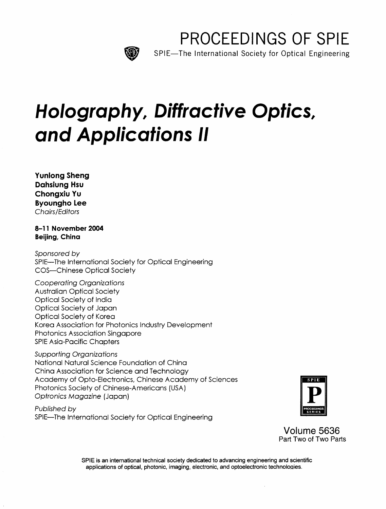

PROCEEDINGS OF SPIE

SPIE—The International Society for Optical Engineering

## Holography, Diffractive Optics, and Applications II

Yunlong Sheng Dahsiung Hsu Chongxiu Yu Byoungho Lee Chairs/Editors

8-11 November 2004 Beijing, China

Sponsored by SPIE—The International Society for Optical Engineering COS—Chinese Optical Society

Cooperating Organizations Australian Optical Society Optical Society of India Optical Society of Japan Optical Society of Korea Korea Association for Photonics Industry Development Photonics Association Singapore SPIE Asia-Pacific Chapters

Supporting Organizations National Natural Science Foundation of China China Association for Science and Technology Academy of Opto-Electronics, Chinese Academy of Sciences Photonics Society of Chinese-Americans (USA) Optronics Magazine (Japan)

Published by SPIE—The International Society for Optical Engineering



Volume 5636 Part Two of Two Parts

SPIE is an international technical society dedicated to advancing engineering and scientific applications of optical, photonic, imaging, electronic, and optoelectronic technoloqies.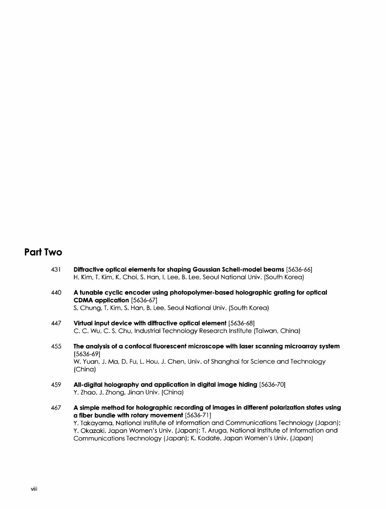## Part Two

- <sup>431</sup> Diffractive optical elements for shaping Gaussian Schell-model beams [5636-66] H. Kim, T. Kim, K. Choi, S. Han, I. Lee, B. Lee, Seoul National Univ. (South Korea)
- <sup>440</sup> A tunable cyclic encoder using photopolymer-based holographic grating for optical CDMA application [5636-67] S. Chung, T. Kim, S. Han, B. Lee, Seoul National Univ. (South Korea)
- 447 Virtual input device with diffractive optical element [5636-68] C. C. Wu, C. S. Chu, Industrial Technology Research Institute (Taiwan, China)
- 455 The analysis of a confocal fluorescent microscope with laser scanning microarray system [5636-69] W. Yuan, J. Ma, D. Fu, L. Hou, J. Chen, Univ. of Shanghai for Science and Technology (China)
- 459 All-digital holography and application in digital image hiding [5636-70] Y. Zhao, J. Zhong, Jinan Univ. (China)
- <sup>467</sup> A simple method for holographic recording of images in different polarization states using a fiber bundle with rotary movement [5636-71 ] Y. Takayama, National Institute of Information and Communications Technology (Japan); Y. Okazaki, Japan Women's Univ. (Japan); T. Aruga, National Institute of Information and Communications Technology (Japan); K. Kodate, Japan Women's Univ. (Japan)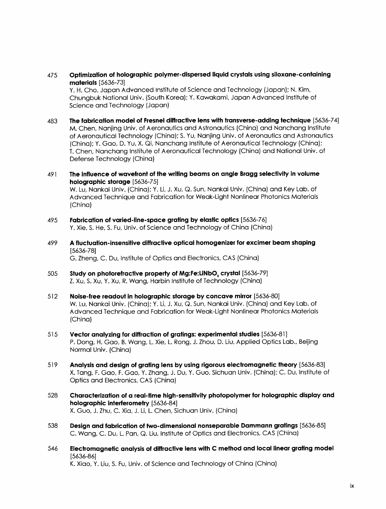475 Optimization of holographic polymer-dispersed liquid crystals using siloxane-containing materials [5636-73]

Y. H. Cho, Japan Advanced Institute of Science and Technology (Japan); N. Kim, Chungbuk National Univ. (South Korea); Y. Kawakami, Japan Advanced Institute of Science and Technology (Japan)

- 483 The fabrication model of Fresnel diffractive lens with transverse-adding technique [5636-74] M. Chen, Nanjing Univ. of Aeronautics and Astronautics (China) and Nanchang Institute of Aeronautical Technology (China); S. Yu, Nanjing Univ. of Aeronautics and Astronautics (China); Y. Gao, D. Yu, X. Qi, Nanchang Institute of Aeronautical Technology (China); T. Chen, Nanchang Institute of Aeronautical Technology (China) and National Univ. of Defense Technology (China)
- <sup>491</sup> The influence of wavefront of the writing beams on angle Bragg selectivity in volume holographic storage [5636-75] W. Lu, Nankai Univ. (China); Y. Li, J. Xu, Q. Sun, Nankai Univ. (China) and Key Lab. of Advanced Technique and Fabrication for Weak-Light Nonlinear Photonics Materials (China)
- 495 Fabrication of varied-line-space grating by elastic optics [5636-76] Y. Xie, S. He, S. Fu, Univ. of Science and Technology of China (China)
- <sup>499</sup> A fluctuation-insensitive diffractive optical homogenizer for excimer beam shaping [5636-78] G. Zheng, C. Du, Institute of Optics and Electronics, CAS (China)
- 505 Study on photorefractive property of Mg:Fe:LiNbO, crystal [5636-79] Z. Xu, S. Xu, Y. Xu, R. Wang, Harbin Institute of Technology (China)
- <sup>512</sup> Noise-free readout in holographic storage by concave mirror [5636-80] W. Lu, Nankai Univ. (China); Y. Li, J. Xu, Q. Sun, Nankai Univ. (China) and Key Lab. of Advanced Technique and Fabrication for Weak-Light Nonlinear Photonics Materials (China)
- 515 Vector analyzing for diffraction of gratings: experimental studies [5636-81 ] P. Dong, H. Gao, B. Wang, L. Xie, L. Rong, J. Zhou, D. Liu, Applied Optics Lab., Beijing Normal Univ. (China)
- 519 Analysis and design of grating lens by using rigorous electromagnetic theory [5636-83] X. Tang, F. Gao, F. Gao, Y. Zhang, J. Du, Y. Guo, Sichuan Univ. (China); C. Du, Institute of Optics and Electronics, CAS (China)
- 528 Characterization of a real-time high-sensitivity photopolymer for holographic display and holographic interferometry [5636-84] X. Guo, J. Zhu, C. Xia, J. Li, L. Chen, Sichuan Univ. (China)
- 538 Design and fabrication of two-dimensional nonseparable Dammann gratings [5636-85] C. Wang, C. Du, L. Pan, Q. Liu, Institute of Optics and Electronics, CAS (China)
- <sup>546</sup> Electromagnetic analysis of diffractive lens with C method and local linear grating model [5636-86] K. Xiao, Y. Liu, S. Fu, Univ. of Science and Technology of China (China)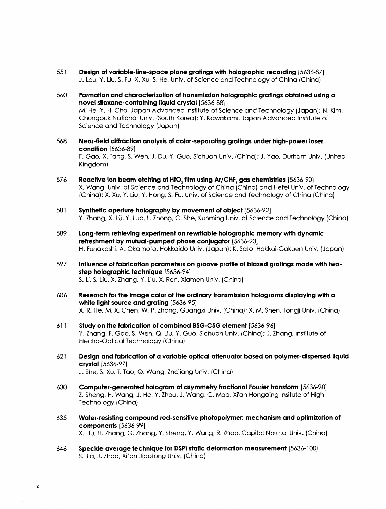- 551 Design of variable-line-space plane gratings with holographic recording [5636-87] J. Lou, Y. Liu, S. Fu, X. Xu, S. He, Univ. of Science and Technology of China (China)
- 560 Formation and characterization of transmission holographic gratings obtained using a novel siloxane-containing liquid crystal [5636-88] M. He, Y. H. Cho, Japan Advanced Institute of Science and Technology (Japan); N. Kim, Chungbuk National Univ. (South Korea); Y. Kawakami, Japan Advanced Institute of Science and Technology (Japan)
- 568 Near-field diffraction analysis of color-separating gratings under high-power laser condition [5636-89] F. Gao, X. Tang, S. Wen, J. Du, Y. Guo, Sichuan Univ. (China); J. Yao, Durham Univ. (United Kingdom)
- 576 Reactive ion beam etching of HfO, film using Ar/CHF, gas chemistries [5636-90] X. Wang, Univ. of Science and Technology of China (China) and Hefei Univ. of Technology (China); X. Xu, Y. Liu, Y. Hong, S. Fu, Univ. of Science and Technology of China (China)
- <sup>581</sup> Synthetic aperture holography by movement of object [5636-92] Y. Zhang, X. Lu, Y. Luo, L. Zhong, C. She, Kunming Univ. of Science and Technology (China)
- 589 Long-term retrieving experiment on rewritable holographic memory with dynamic refreshment by mutual-pumped phase conjugator [5636-93] H. Funakoshi, A. Okamoto, Hokkaido Univ. (Japan); K. Sato, Hokkai-Gakuen Univ. (Japan)
- 597 Influence of fabrication parameters on groove profile of blazed gratings made with twostep holographic technique [5636-94] S. Li, S. Liu, X. Zhang, Y. Liu, X. Ren, Xiamen Univ. (China)
- 606 Research for the image color of the ordinary transmission holograms displaying with a white light source and grating [5636-95] X. R. He, M. X. Chen, W. P. Zhang, Guangxi Univ. (China); X. M. Shen, Tongji Univ. (China)
- <sup>611</sup> Study on the fabrication of combined BSG-CSG element [5636-96] Y. Zhang, F. Gao, S. Wen, Q. Liu, Y. Guo, Sichuan Univ. (China); J. Zhang, Institute of Electro-Optical Technology (China)
- <sup>621</sup> Design and fabrication of a variable optical attenuator based on polymer-dispersed liquid crystal [5636-97] J. She, S. Xu, T. Tao, Q. Wang, Zhejiang Univ. (China)
- 630 Computer-generated hologram of asymmetry fractional Fourier transform [5636-98] Z. Sheng, H. Wang, J. He, Y. Zhou, J. Wang, C. Mao, Xi'an Hongqing Insitute of High Technology (China)
- 635 Water-resisting compound red-sensitive photopolymer: mechanism and optimization of components [5636-99] X. Hu, H. Zhang, G. Zhang, Y. Sheng, Y. Wang, R. Zhao, Capital Normal Univ. (China)
- 646 Speckle average technique for DSPI static deformation measurement [5636-100] S. Jia, J. Zhao, Xi'an Jiaotong Univ. (China)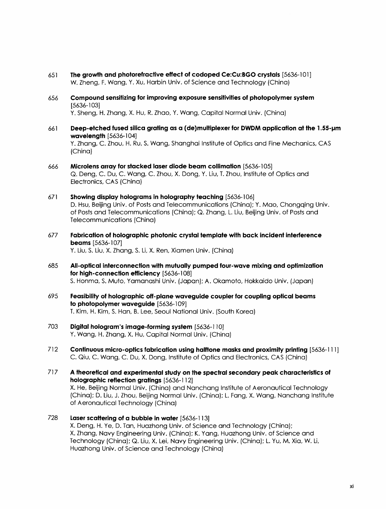- <sup>651</sup> The growth and photorefractive effect of codoped Ce:Cu:BGO crystals [5636-101] W. Zheng, F. Wang, Y. Xu, Harbin Univ. of Science and Technology (China)
- 656 Compound sensitizing for improving exposure sensitivities of photopolymer system [5636-103] Y. Sheng, H. Zhang, X. Hu, R. Zhao, Y. Wang, Capital Normal Univ. (China)
- 661 Deep-etched fused silica grating as a (de)multiplexer for DWDM application at the 1.55-um wavelength [5636-104] Y. Zhang, C. Zhou, H. Ru, S. Wang, Shanghai Institute of Optics and Fine Mechanics, CAS (China)
- 666 Microlens array for stacked laser diode beam collimation [5636-105] Q. Deng, C. Du, C. Wang, C. Zhou, X. Dong, Y. Liu, T. Zhou, Institute of Optics and Electronics, CAS (China)
- 671 Showing display holograms in holography teaching [5636-106] D. Hsu, Beijing Univ. of Posts and Telecommunications (China); Y. Mao, Chongqing Univ. of Posts and Telecommunications (China); Q. Zhang, L. Liu, Beijing Univ. of Posts and Telecommunications (China)
- 677 Fabrication of holographic photonic crystal template with back incident interference beams [5636-107] Y. Liu, S. Liu, X. Zhang, S. Li, X. Ren, Xiamen Univ. (China)
- 685 All-optical interconnection with mutually pumped four-wave mixing and optimization for high-connection efficiency [5636-108] S. Honma, S. Muto, Yamanashi Univ. (Japan); A. Okamoto, Hokkaido Univ. (Japan)
- 695 Feasibility of holographic off-plane waveguide coupler for coupling optical beams to photopolymer waveguide [5636-109] T. Kim, H. Kim, S. Han, B. Lee, Seoul National Univ. (South Korea)
- 703 Digital hologram's image-forming system [5636-110] Y. Wang, H. Zhang, X. Hu, Capital Normal Univ. (China)
- 712 Continuous micro-optics fabrication using halftone masks and proximity printing [5636-111 ] C. Qiu, C. Wang, C. Du, X. Dong, Institute of Optics and Electronics, CAS (China)
- <sup>717</sup> A theoretical and experimental study on the spectral secondary peak characteristics of holographic reflection gratings [5636-112] X. He, Beijing Normal Univ. (China) and Nanchang Institute of Aeronautical Technology (China); D. Liu, J. Zhou, Beijing Normal Univ. (China); L. Fang, X. Wang, Nanchang Institute of Aeronautical Technology (China)
- 728 Laser scattering of a bubble in water [5636-113] X. Deng, H. Ye, D. Tan, Huazhong Univ. of Science and Technology (China); X. Zhang, Navy Engineering Univ. (China); K. Yang, Huazhong Univ. of Science and Technology (China); Q. Liu, X. Lei, Navy Engineering Univ. (China); L. Yu, M. Xia, W. Li, Huazhong Univ. of Science and Technology (China)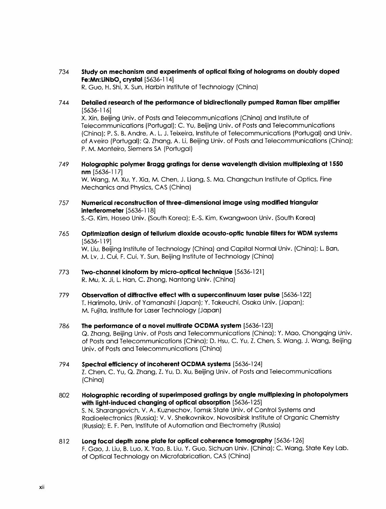<sup>734</sup> Study on mechanism and experiments of optical fixing of holograms on doubly doped Fe: Mn: LiNbO, crystal [5636-114] R. Guo, H. Shi, X. Sun, Harbin Institute of Technology (China)

## 744 Detailed research of the performance of bidirectionally pumped Raman fiber amplifier [5636-116]

X. Xin, Beijing Univ. of Posts and Telecommunications (China) and Institute of Telecommunications (Portugal); C. Yu, Beijing Univ. of Posts and Telecommunications (China); P. S. B. Andre, A. L. J. Teixeira, Institute of Telecommunications (Portugal) and Univ. of Aveiro (Portugal); Q. Zhang, A. Li, Beijing Univ. of Posts and Telecommunications (China); P. M. Monteiro, Siemens SA (Portugal)

749 Holographic polymer Bragg gratings for dense wavelength division multiplexing at 1550 nm [5636-117]

W. Wang, M. Xu, Y. Xia, M. Chen, J. Liang, S. Ma, Changchun Institute of Optics, Fine Mechanics and Physics, CAS (China)

- 757 Numerical reconstruction of three-dimensional image using modified triangular interferometer [5636-118] S.-G. Kim, Hoseo Univ. (South Korea); E.-S. Kim, Kwangwoon Univ. (South Korea)
- <sup>765</sup> Optimization design of tellurium dioxide acousto-optic tunable filters for WDM systems [5636-119] W. Liu, Beijing Institute of Technology (China) and Capital Normal Univ. (China); L. Ban, M. Lv, J. Cui, F. Cui, Y. Sun, Beijing Institute of Technology (China)
- 773 Two-channel kinoform by micro-optical technique [5636-121 ] R. Mu, X. Ji, L. Han, C. Zhong, Nantong Univ. (China)
- 779 Observation of diffractive effect with a supercontinuum laser pulse [5636-122] T. Harimoto, Univ. of Yamanashi (Japan); Y. Takeuchi, Osaka Univ. (Japan); M. Fujita, Institute for Laser Technology (Japan)
- <sup>786</sup> The performance of a novel multirate OCDMA system [5636-123] Q. Zhang, Beijing Univ. of Posts and Telecommunications (China); Y. Mao, Chongqing Univ. of Posts and Telecommunications (China); D. Hsu, C. Yu, Z. Chen, S. Wang, J. Wang, Beijing Univ. of Posts and Telecommunications (China)
- <sup>794</sup> Spectral efficiency of incoherent OCDMA systems [5636-124] Z. Chen, C. Yu, Q. Zhang, Z. Yu, D. Xu, Beijing Univ. of Posts and Telecommunications (China)
- 802 Holographic recording of superimposed gratings by angle multiplexing in photopolymers with light-induced changing of optical absorption [5636-125] S. N. Sharangovich, V. A. Kuznechov, Tomsk State Univ. of Control Systems and Radioelectronics (Russia); V. V. Shelkovnikov, Novosibirsk Institute of Organic Chemistry (Russia); E. F. Pen, Institute of Automation and Electrometry (Russia)
- 812 Long focal depth zone plate for optical coherence tomography [5636-126] F. Gao, J. Liu, B. Luo, X. Yao, B. Liu, Y. Guo, Sichuan Univ. (China); C. Wang, State Key Lab. of Optical Technology on Microfabrication, CAS (China)